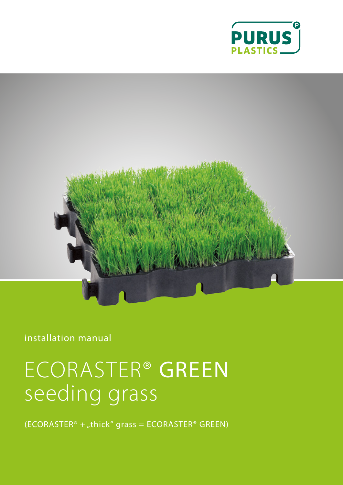



installation manual

# ECORASTER® GREEN seeding grass

 $(ECORASTER<sup>®</sup> + "thick" grass = ECORASTER<sup>®</sup> GREEN)$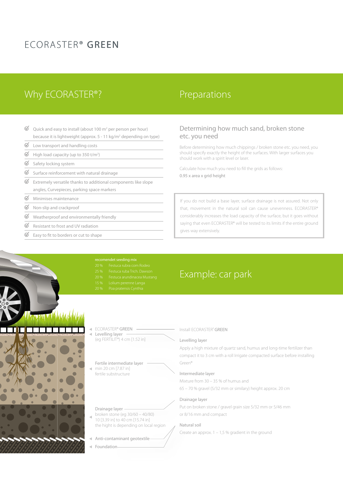### ECORASTER® GREEN

### Why ECORASTER®? Preparations

- $\mathcal{Q}$ Quick and easy to install (about 100 m<sup>2</sup> per person per hour) because it is lightweight (approx. 5 - 11 kg/m<sup>2</sup> depending on type)
- $\mathcal{Q}$ Low transport and handling costs
- $\mathcal Q$ High load capacity (up to 350 t/m<sup>2</sup>)
- $\mathcal{A}$ Safety locking system
- $\mathcal Q$ Surface reinforcement with natural drainage
- $\mathcal Q$ Extremely versatile thanks to additional components like slope angles, Curvepieces, parking space markers
- $\circledS$ Minimises maintenance
- $\mathcal{Q}$ Non-slip and crackproof
- $\varnothing$ Weatherproof and environmentally friendly
- $\varnothing$ Resistant to frost and UV radiation
- $\mathcal{Q}$ Easy to fit to borders or cut to shape

#### Determining how much sand, broken stone etc. you need

Before determining how much chippings / broken stone etc. you need, you should specify exactly the height of the surfaces. With larger surfaces you should work with a spirit level or laser.

Calculate how much you need to fill the grids as follows: 0.95 x area x grid height

If you do not build a base layer, surface drainage is not assured. Not only that, movement in the natural soil can cause unevenness. ECORASTER® considerably increases the load capacity of the surface, but it goes without saying that even ECORASTER® will be tested to its limits if the entire ground gives way extensively.

- 
- 
- 
- 
- 



| <b>ECORASTER® GREEN</b>                 |
|-----------------------------------------|
| ← Levelling layer                       |
| (eq FERTILIT®) $4 \text{ cm}$ [1.52 in] |

Fertile intermediate layer  $\blacksquare$  min 20 cm [7.87 in] fertile substructure

Drainage layer

- broken stone (eg  $30/60 40/80$ )  $10$  [3.39 in] to 40 cm [15.74 in] the hight is depending on local region
	-

Anti-contaminant geotextile

I Foundation-

### Example: car park

Install ECORASTER® GREEN

#### Levelling layer

Apply a high mixture of quartz sand, humus and long-time fertilizer than compact it to 3 cm with a roll Irrigate compacted surface before installing Green®

#### Intermediate layer

Mixture from 30 – 35 % of humus and 65 – 70 % gravel (5/32 mm or similary) height approx. 20 cm

#### Drainage layer

Put on broken stone / gravel grain size 5/32 mm or 5/46 mm or 8/16 mm and compact

#### Natural soil

Create an approx.  $1 - 1.5$  % gradient in the ground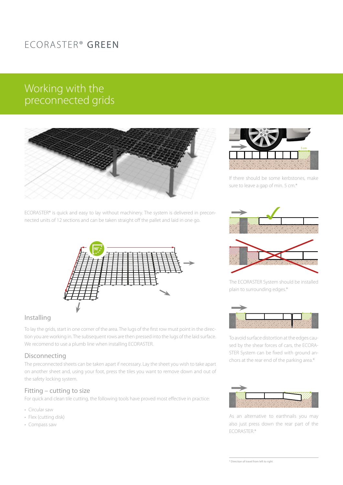# ECORASTER® GREEN

### Working with the preconnected grids



ECORASTER® is quick and easy to lay without machinery. The system is delivered in preconnected units of 12 sections and can be taken straight off the pallet and laid in one go.



#### Installing

To lay the grids, start in one corner of the area. The lugs of the first row must point in the direction you are working in. The subsequent rows are then pressed into the lugs of the laid surface. We recomend to use a plumb line when installing ECORASTER.

#### Disconnecting

The preconnected sheets can be taken apart if necessary. Lay the sheet you wish to take apart on another sheet and, using your foot, press the tiles you want to remove down and out of the safety locking system.

#### Fitting – cutting to size

For quick and clean tile cutting, the following tools have proved most effective in practice:

- Circular saw
- Flex (cutting disk)
- Compass saw



If there should be some kerbstones, make sure to leave a gap of min. 5 cm.\*





The ECORASTER System should be installed plain to surrounding edges.\*



To avoid surface distortion at the edges caused by the shear forces of cars, the ECORA-STER System can be fixed with ground anchors at the rear end of the parking area.\*



As an alternative to earthnails you may also just press down the rear part of the ECORASTER.\*

\* Direction of travel from left to right